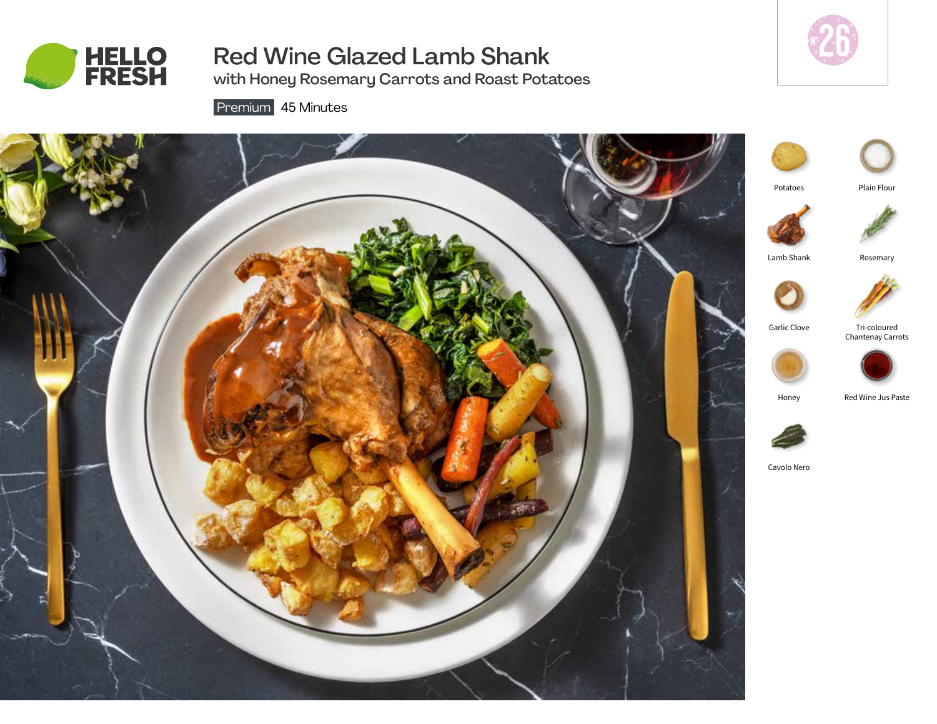

# Red Wine Glazed Lamb Shank

with Honey Rosemary Carrots and Roast Potatoes



Premium 45 Minutes